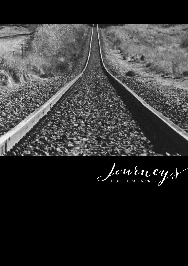

Journeys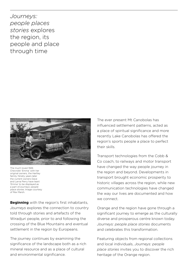*Journeys: people places stories* explores the region, its people and place through time



The much loved 1926 Chevrolet 'Emma' with her original owners, the Hartley family. Ninety years later the current owners Dave and Larna Perry have leant 'Emma' to be displayed as a part of Journeys: people place stories. Image courtesy of Rex Marsh.

**Beginning** with the region's first inhabitants, *Journeys* explores the connection to country told through stories and artefacts of the Wiradiuri people, prior to and following the crossing of the Blue Mountains and eventual settlement in the region by Europeans.

The journey continues by examining the significance of the landscape both as a rich mineral resource and as a place of cultural and environmental significance.

The ever present Mt Canobolas has influenced settlement patterns, acted as a place of spiritual significance and more recently Lake Canobolas has offered the region's sports people a place to perfect their skills.

Transport technologies from the Cobb & Co coach, to railways and motor transport have changed the way people journey in the region and beyond. Developments in transport brought economic prosperity to historic villages across the region, while new communication technologies have changed the way our lives are documented and how we connect.

Orange and the region have gone through a significant journey to emerge as the culturally diverse and prosperous centre known today. *Journeys: people place stories* documents and celebrates this transformation.

Featuring objects from regional collections and local individuals, *Journeys: people place stories* invites you to discover the rich heritage of the Orange region.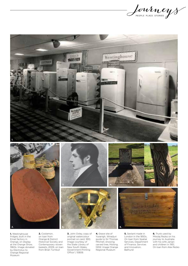Journey &



**1.** Westinghouse fridges, built in the Email factory in Orange, on display at the Orange Show, 1960s. Image donated by Electrolux to Orange Regional Museum

**2.** Coolamon, on loan from Orange & District Historical Society and Contemporary woven baskets, 2009, on loan from Brian Turnbull

**3.** John Oxley, copy of original watercolour portrait on card, 1810. Image courtesy of the State Library of New South Wales Government Printing Office 1, 10806

**4.** Grave site of Yuranigh, Wiradjuri guide to Sir Thomas Mitchell, showing carved tree, Molong, NSW. Image Orange Regional Museum

**5.** Sextant made in London in the 1850s. On loan from Spatial Services, Department of Finance, Services and Innovation, Bathurst

**6.** Trunk used by Mikolaj Rezko on his journey to Australia with his wife Janian and children in 1951, On loan from Alex Rezko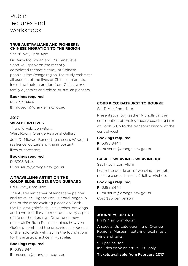# Public lectures and workshops

#### **TRUE AUSTRALIANS AND PIONEERS: CHINESE MIGRATION TO THE REGION**

Sat 26 Nov, 2pm-4pm

Dr Barry McGowan and Ms Genevieve Scott will speak on the recently completed thematic study of Chinese people in the Orange region. The study embraces all aspects of the lives of Chinese migrants, including their migration from China, work, family dynamics and role as Australian pioneers.

#### **Bookings required**

**P:** 6393 8444 **E:** museum@orange.nsw.gov.au

## **2017**

#### **WIRADJURI LIVES**

Thurs 16 Feb, 5pm-8pm West Room, Orange Regional Gallery Join Dr Michael Bennett to discuss Wiradjuri resilience, culture and the important lives of ancestors.

#### **Bookings required**

**P:** 6393 8444 **E:** museum@orange.nsw.gov.au

#### **A TRAVELLING ARTIST ON THE GOLDFIELDS: EUGENE VON GUÉRARD**

Fri 12 May, 6pm-8pm

The Australian career of landscape painter and traveller, Eugene von Guérard, began in one of the most exciting places on Earth – the Ballarat goldfields. In sketches, drawings and a written diary he recorded, every aspect of life on the diggings. Drawing on new research Dr Ruth Pullin examines how von Guérard combined the precarious experience of the goldfields with laying the foundations for his artistic practice in Australia.

#### **Bookings required**

**P:** 6393 8444 **E:** museum@orange.nsw.gov.au

### **COBB & CO: BATHURST TO BOURKE**

Sat 11 Mar, 2pm-4pm

Presentation by Heather Nicholls on the contribution of the legendary coaching firm of Cobb & Co to the transport history of the central west.

#### **Bookings required**

**P:** 6393 8444 **E:** museum@orange.nsw.gov.au

#### **BASKET WEAVING - WEAVING 101**

Sat 17 Jun, 2pm-4pm Learn the gentle art of weaving, through making a small basket. Adult workshop.

#### **Bookings required**

**P:** 6393 8444 **E:** museum@orange.nsw.gov.au Cost \$25 per person

#### **JOURNEYS UP-LATE**

Fri 19 May, 6pm-10pm

A special Up Late opening of Orange Regional Museum featuring local music, wine and talks.

\$10 per person Includes drink on arrival, 18+ only

#### **Tickets available from February 2017**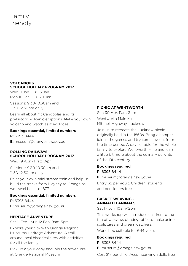# Family friendly

#### **VOLCANOES SCHOOL HOLIDAY PROGRAM 2017**

Wed 11 Jan - Fri 13 Jan Mon 16 Jan – Fri 20 Jan

Sessions: 9.30-10.30am and 11.30-12.30pm daily

Learn all about Mt Canobolas and its prehistoric volcanic eruptions. Make your own volcano and watch as it explodes.

#### **Bookings essential, limited numbers**

**P:** 6393 8444 **E:** museum@orange.nsw.gov.au

#### **ROLLING RAILWAYS SCHOOL HOLIDAY PROGRAM 2017**

Wed 19 Apr - Fri 21 Apr

Sessions: 9.30-10.30am and 11.30-12.30pm daily

Paint your own mini stream train and help us build the tracks from Blayney to Orange as we travel back to 1877.

#### **Bookings essential, limited numbers**

**P:** 6393 8444 **E:** museum@orange.nsw.gov.au

#### **HERITAGE ADVENTURE**

Sat 11 Feb - Sun 12 Feb, 9am-5pm

Explore your city with Orange Regional Museums Heritage Adventure. A trail around local historical sites with activities for all the family.

Pick up a your copy and join the advenutre at Orange Regional Museum

#### **PICNIC AT WENTWORTH**

Sun 30 Apr, 11am-3pm Wentworth Main Mine, Mitchell Highway, Lucknow

Join us to recreate the Lucknow picnic, originally held in the 1860s. Bring a hamper, join in the games and try some sweets from the time period. A day suitable for the whole family to explore Wentworth Mine and learn a little bit more about the culinary delights of the 19th century.

# **Bookings required P:** 6393 8444

**E:** museum@orange.nsw.gov.au Entry \$2 per adult. Children, students and pensioners free.

#### **BASKET WEAVING - ANIMATED ANIMALS**

Sat 17 Jun, 10am-12pm

This workshop will introduce children to the fun of weaving, utilising raffia to make animal sculptures and dream catchers.

Workshop suitable for 6-14 years.

#### **Bookings required**

**P:** 6393 8444 **E:** museum@orange.nsw.gov.au

Cost \$17 per child. Accompanying adults free.